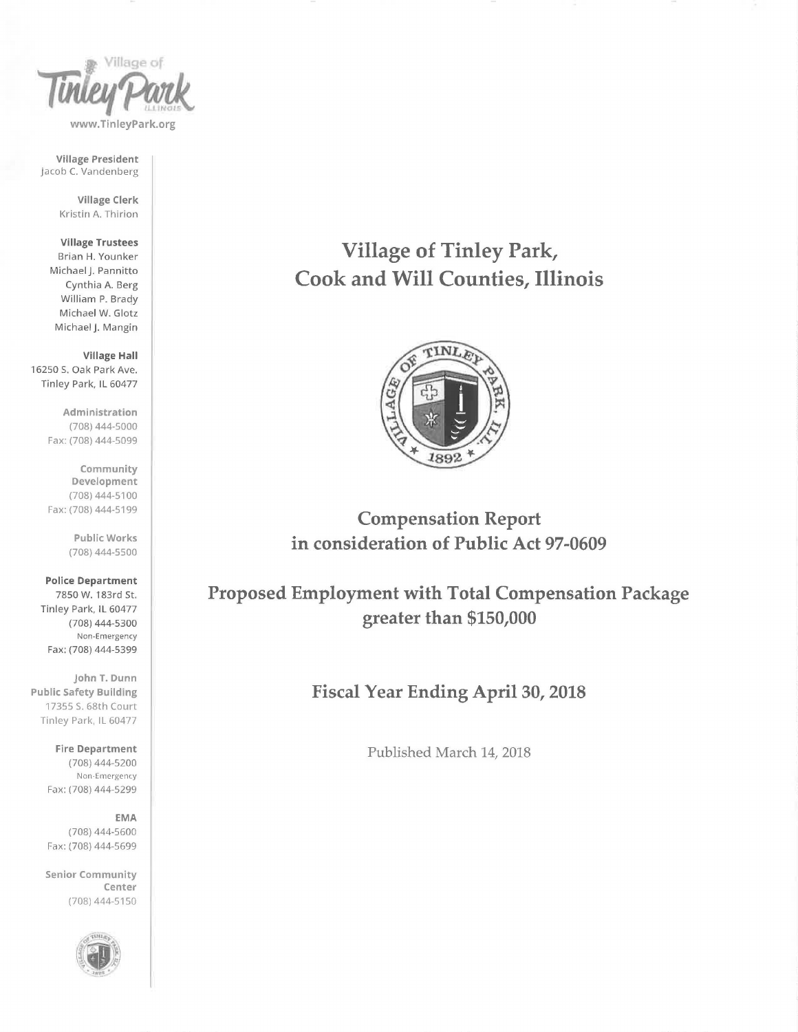

Village President Jacob C. Vandenberg

> Village Clerk Kristin A. Thirion

Village Trustees Brian H. Younker Michael j. Pannitto Cynthia A. Berg William P. Brady Michael W. Glotz Michael j. Mangin

Village Hall 16250 S. Oak Park Ave. Tinley Park, IL 60477

> Administration (708) 444-5000 Fax: (708) 444-5099

> Community Development (708) 444-5100 Fax: (708) 444-5199

> > Public Works (708) 444-5500

Police Department 7850 W. 183rd St. Tinley Park, IL 60477 (708) 444-5300 Non-Emergency Fax: (708) 444-5399

john T. Dunn Public Safety Building 17355 S. 68th Court Tinley Park, IL 60477

> Fire Department (708) 444-5200 Non-Emergency Fax: (708) 444-5299

EMA (708) 444-5600 Fax: (708) 444-5699

Senior Community Center (708) 444-5150



Village of Tinley Park, Cook and Will Counties, Illinois



Compensation Report in consideration of Public Act 97-0609

Proposed Employment with Total Compensation Package greater than \$150,000

Fiscal Year Ending April 30, 2018

Published March 14, 2018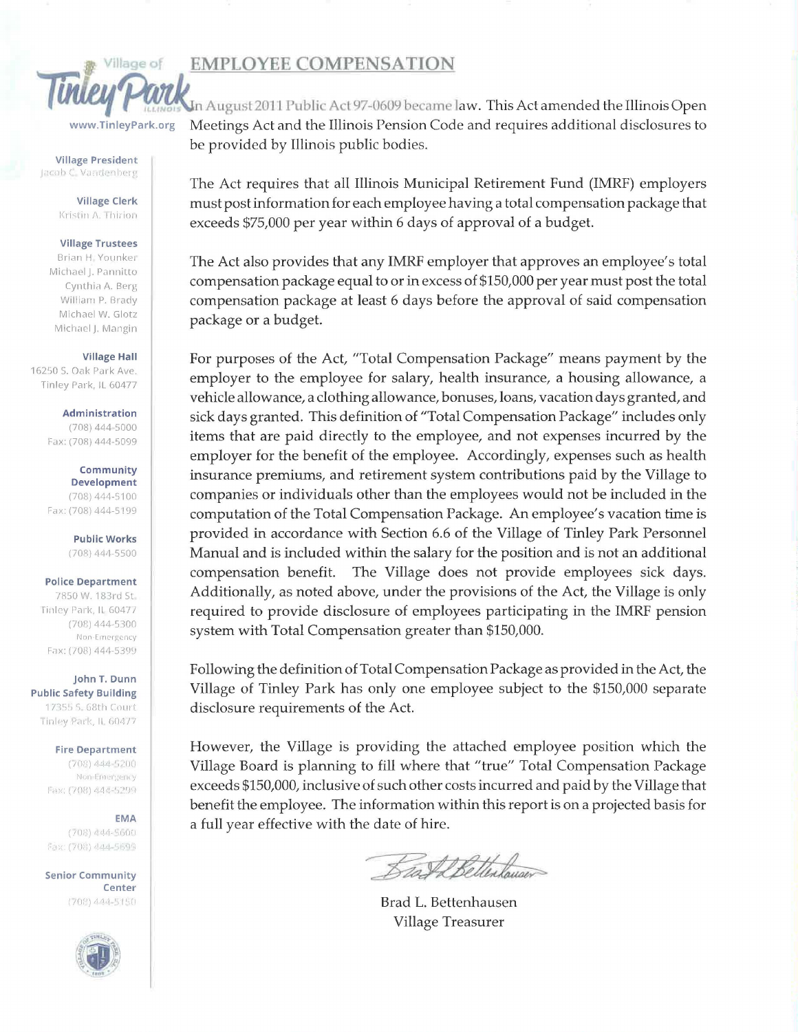# **EMPLOYEE COMPENSATION**



www.TinleyPark.org

**Village President** Jacob C. Vandenberg

> **Village Clerk** Kristin A. Thirion

#### **Village Trustees**

Brian H. Younker Michael J. Pannitto Cynthia A. Berg William P. Brady Michael W. Glotz Michael J. Mangin

#### **Village Hall**

16250 S. Oak Park Ave. Tinley Park, JL 60477

> Administration  $(708)$  444-5000

Fax: (708) 444-5099

Community **Development** (708) 444-5100 Fax: (708) 444-5199

> **Public Works**  $(708)$  444-5500

### **Police Department**

7850 W. 183rd St. Tinley Park, IL 60477  $(708)$  444-5300 Non-Emergency Fax: (708) 444-5399

John T. Dunn **Public Safety Building** 17355 S. 68th Court Tinley Park, IL 60477

> **Fire Department** (708) 444-5200 Non-Emergency Fax: (708) 444-5299

> **EMA**  $(708)$  444-5600 Fax: (708) 444-5699

**Senior Community** Center (708) 444-5150



In August 2011 Public Act 97-0609 became law. This Act amended the Illinois Open Meetings Act and the Illinois Pension Code and requires additional disclosures to be provided by Illinois public bodies.

The Act requires that all Illinois Municipal Retirement Fund (IMRF) employers must post information for each employee having a total compensation package that exceeds \$75,000 per year within 6 days of approval of a budget.

The Act also provides that any IMRF employer that approves an employee's total compensation package equal to or in excess of \$150,000 per year must post the total compensation package at least 6 days before the approval of said compensation package or a budget.

For purposes of the Act, "Total Compensation Package" means payment by the employer to the employee for salary, health insurance, a housing allowance, a vehicle allowance, a clothing allowance, bonuses, loans, vacation days granted, and sick days granted. This definition of "Total Compensation Package" includes only items that are paid directly to the employee, and not expenses incurred by the employer for the benefit of the employee. Accordingly, expenses such as health insurance premiums, and retirement system contributions paid by the Village to companies or individuals other than the employees would not be included in the computation of the Total Compensation Package. An employee's vacation time is provided in accordance with Section 6.6 of the Village of Tinley Park Personnel Manual and is included within the salary for the position and is not an additional compensation benefit. The Village does not provide employees sick days. Additionally, as noted above, under the provisions of the Act, the Village is only required to provide disclosure of employees participating in the IMRF pension system with Total Compensation greater than \$150,000.

Following the definition of Total Compensation Package as provided in the Act, the Village of Tinley Park has only one employee subject to the \$150,000 separate disclosure requirements of the Act.

However, the Village is providing the attached employee position which the Village Board is planning to fill where that "true" Total Compensation Package exceeds \$150,000, inclusive of such other costs incurred and paid by the Village that benefit the employee. The information within this report is on a projected basis for a full year effective with the date of hire.

Sat LEetterlauser

Brad L. Bettenhausen Village Treasurer